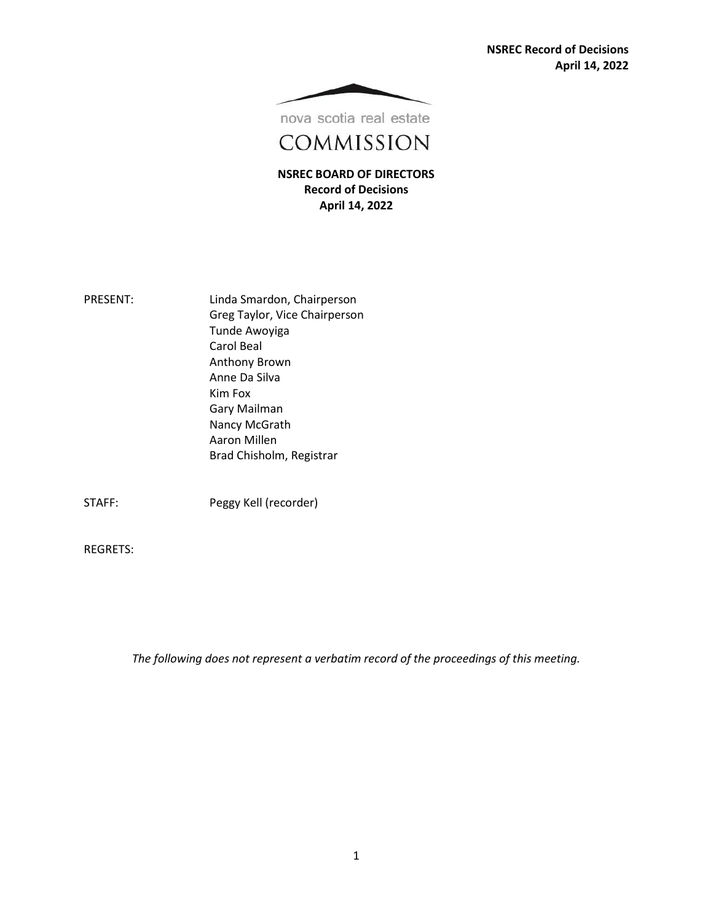**NSREC Record of Decisions April 14, 2022**



nova scotia real estate

COMMISSION

**NSREC BOARD OF DIRECTORS Record of Decisions April 14, 2022**

| <b>PRESENT:</b> | Linda Smardon, Chairperson    |
|-----------------|-------------------------------|
|                 | Greg Taylor, Vice Chairperson |
|                 | Tunde Awoyiga                 |
|                 | Carol Beal                    |
|                 | Anthony Brown                 |
|                 | Anne Da Silva                 |
|                 | Kim Fox                       |
|                 | Gary Mailman                  |
|                 | Nancy McGrath                 |
|                 | Aaron Millen                  |
|                 | Brad Chisholm, Registrar      |
|                 |                               |
|                 |                               |
|                 |                               |

STAFF: Peggy Kell (recorder)

REGRETS:

*The following does not represent a verbatim record of the proceedings of this meeting.*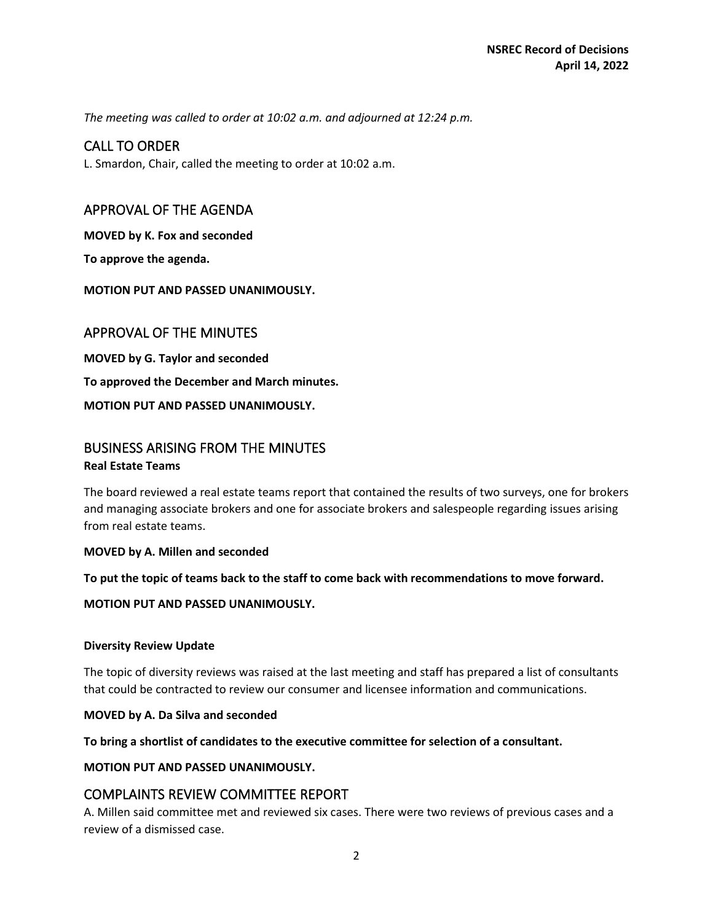*The meeting was called to order at 10:02 a.m. and adjourned at 12:24 p.m.*

# CALL TO ORDER

L. Smardon, Chair, called the meeting to order at 10:02 a.m.

## APPROVAL OF THE AGENDA

**MOVED by K. Fox and seconded**

**To approve the agenda.**

**MOTION PUT AND PASSED UNANIMOUSLY.** 

## APPROVAL OF THE MINUTES

**MOVED by G. Taylor and seconded To approved the December and March minutes. MOTION PUT AND PASSED UNANIMOUSLY.** 

## BUSINESS ARISING FROM THE MINUTES **Real Estate Teams**

The board reviewed a real estate teams report that contained the results of two surveys, one for brokers and managing associate brokers and one for associate brokers and salespeople regarding issues arising from real estate teams.

#### **MOVED by A. Millen and seconded**

**To put the topic of teams back to the staff to come back with recommendations to move forward.**

**MOTION PUT AND PASSED UNANIMOUSLY.** 

#### **Diversity Review Update**

The topic of diversity reviews was raised at the last meeting and staff has prepared a list of consultants that could be contracted to review our consumer and licensee information and communications.

**MOVED by A. Da Silva and seconded**

**To bring a shortlist of candidates to the executive committee for selection of a consultant.** 

#### **MOTION PUT AND PASSED UNANIMOUSLY.**

# COMPLAINTS REVIEW COMMITTEE REPORT

A. Millen said committee met and reviewed six cases. There were two reviews of previous cases and a review of a dismissed case.